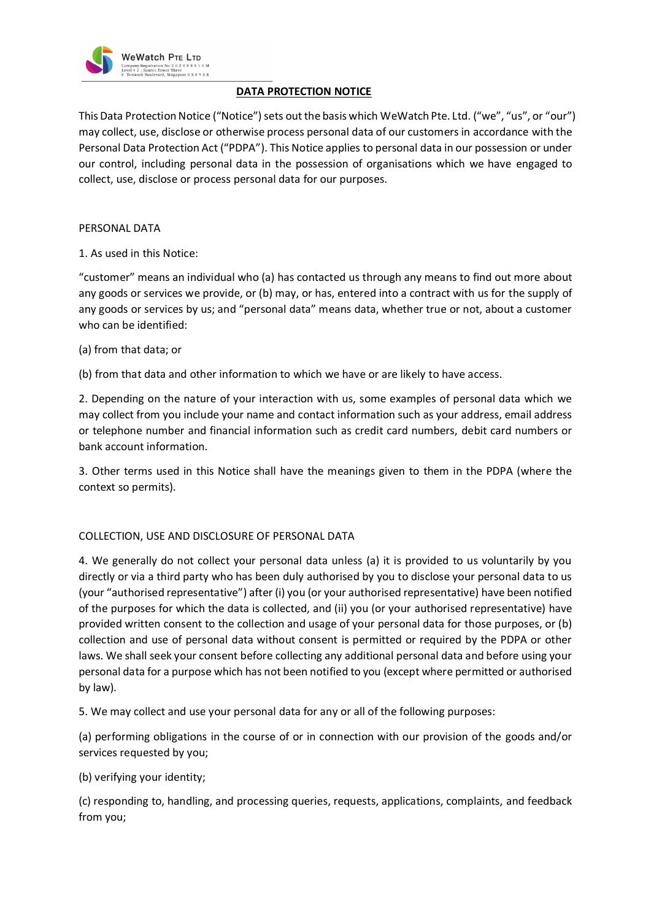

# **DATA PROTECTION NOTICE**

This Data Protection Notice ("Notice") sets out the basis which WeWatch Pte. Ltd. ("we", "us", or "our") may collect, use, disclose or otherwise process personal data of our customers in accordance with the Personal Data Protection Act ("PDPA"). This Notice applies to personal data in our possession or under our control, including personal data in the possession of organisations which we have engaged to collect, use, disclose or process personal data for our purposes.

## PERSONAL DATA

1. As used in this Notice:

"customer" means an individual who (a) has contacted us through any means to find out more about any goods or services we provide, or (b) may, or has, entered into a contract with us for the supply of any goods or services by us; and "personal data" means data, whether true or not, about a customer who can be identified:

(a) from that data; or

(b) from that data and other information to which we have or are likely to have access.

2. Depending on the nature of your interaction with us, some examples of personal data which we may collect from you include your name and contact information such as your address, email address or telephone number and financial information such as credit card numbers, debit card numbers or bank account information.

3. Other terms used in this Notice shall have the meanings given to them in the PDPA (where the context so permits).

## COLLECTION, USE AND DISCLOSURE OF PERSONAL DATA

4. We generally do not collect your personal data unless (a) it is provided to us voluntarily by you directly or via a third party who has been duly authorised by you to disclose your personal data to us (your "authorised representative") after (i) you (or your authorised representative) have been notified of the purposes for which the data is collected, and (ii) you (or your authorised representative) have provided written consent to the collection and usage of your personal data for those purposes, or (b) collection and use of personal data without consent is permitted or required by the PDPA or other laws. We shall seek your consent before collecting any additional personal data and before using your personal data for a purpose which has not been notified to you (except where permitted or authorised by law).

5. We may collect and use your personal data for any or all of the following purposes:

(a) performing obligations in the course of or in connection with our provision of the goods and/or services requested by you;

## (b) verifying your identity;

(c) responding to, handling, and processing queries, requests, applications, complaints, and feedback from you;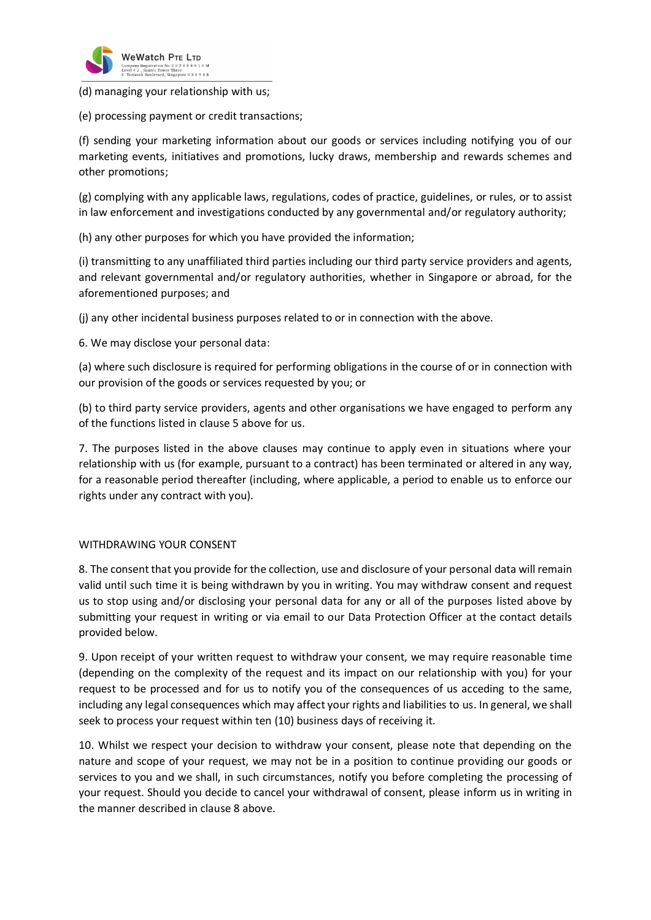

(d) managing your relationship with us;

(e) processing payment or credit transactions;

(f) sending your marketing information about our goods or services including notifying you of our marketing events, initiatives and promotions, lucky draws, membership and rewards schemes and other promotions;

(g) complying with any applicable laws, regulations, codes of practice, guidelines, or rules, or to assist in law enforcement and investigations conducted by any governmental and/or regulatory authority;

(h) any other purposes for which you have provided the information;

(i) transmitting to any unaffiliated third parties including our third party service providers and agents, and relevant governmental and/or regulatory authorities, whether in Singapore or abroad, for the aforementioned purposes; and

(j) any other incidental business purposes related to or in connection with the above.

6. We may disclose your personal data:

(a) where such disclosure is required for performing obligations in the course of or in connection with our provision of the goods or services requested by you; or

(b) to third party service providers, agents and other organisations we have engaged to perform any of the functions listed in clause 5 above for us.

7. The purposes listed in the above clauses may continue to apply even in situations where your relationship with us (for example, pursuant to a contract) has been terminated or altered in any way, for a reasonable period thereafter (including, where applicable, a period to enable us to enforce our rights under any contract with you).

## WITHDRAWING YOUR CONSENT

8. The consent that you provide for the collection, use and disclosure of your personal data will remain valid until such time it is being withdrawn by you in writing. You may withdraw consent and request us to stop using and/or disclosing your personal data for any or all of the purposes listed above by submitting your request in writing or via email to our Data Protection Officer at the contact details provided below.

9. Upon receipt of your written request to withdraw your consent, we may require reasonable time (depending on the complexity of the request and its impact on our relationship with you) for your request to be processed and for us to notify you of the consequences of us acceding to the same, including any legal consequences which may affect your rights and liabilities to us. In general, we shall seek to process your request within ten (10) business days of receiving it.

10. Whilst we respect your decision to withdraw your consent, please note that depending on the nature and scope of your request, we may not be in a position to continue providing our goods or services to you and we shall, in such circumstances, notify you before completing the processing of your request. Should you decide to cancel your withdrawal of consent, please inform us in writing in the manner described in clause 8 above.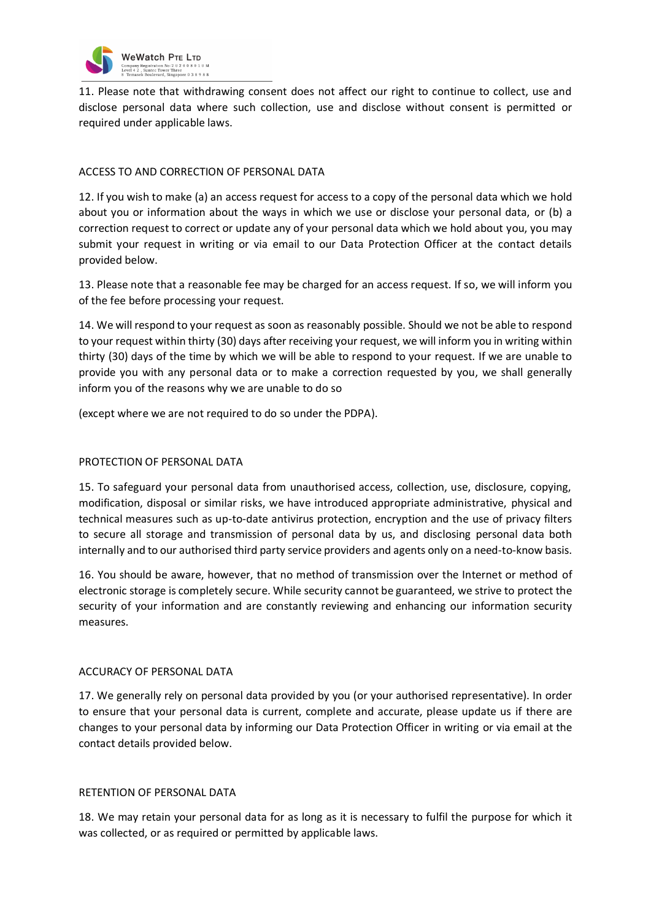

11. Please note that withdrawing consent does not affect our right to continue to collect, use and disclose personal data where such collection, use and disclose without consent is permitted or required under applicable laws.

## ACCESS TO AND CORRECTION OF PERSONAL DATA

12. If you wish to make (a) an access request for access to a copy of the personal data which we hold about you or information about the ways in which we use or disclose your personal data, or (b) a correction request to correct or update any of your personal data which we hold about you, you may submit your request in writing or via email to our Data Protection Officer at the contact details provided below.

13. Please note that a reasonable fee may be charged for an access request. If so, we will inform you of the fee before processing your request.

14. We will respond to your request as soon as reasonably possible. Should we not be able to respond to your request within thirty (30) days after receiving your request, we will inform you in writing within thirty (30) days of the time by which we will be able to respond to your request. If we are unable to provide you with any personal data or to make a correction requested by you, we shall generally inform you of the reasons why we are unable to do so

(except where we are not required to do so under the PDPA).

## PROTECTION OF PERSONAL DATA

15. To safeguard your personal data from unauthorised access, collection, use, disclosure, copying, modification, disposal or similar risks, we have introduced appropriate administrative, physical and technical measures such as up-to-date antivirus protection, encryption and the use of privacy filters to secure all storage and transmission of personal data by us, and disclosing personal data both internally and to our authorised third party service providers and agents only on a need-to-know basis.

16. You should be aware, however, that no method of transmission over the Internet or method of electronic storage is completely secure. While security cannot be guaranteed, we strive to protect the security of your information and are constantly reviewing and enhancing our information security measures.

## ACCURACY OF PERSONAL DATA

17. We generally rely on personal data provided by you (or your authorised representative). In order to ensure that your personal data is current, complete and accurate, please update us if there are changes to your personal data by informing our Data Protection Officer in writing or via email at the contact details provided below.

## RETENTION OF PERSONAL DATA

18. We may retain your personal data for as long as it is necessary to fulfil the purpose for which it was collected, or as required or permitted by applicable laws.